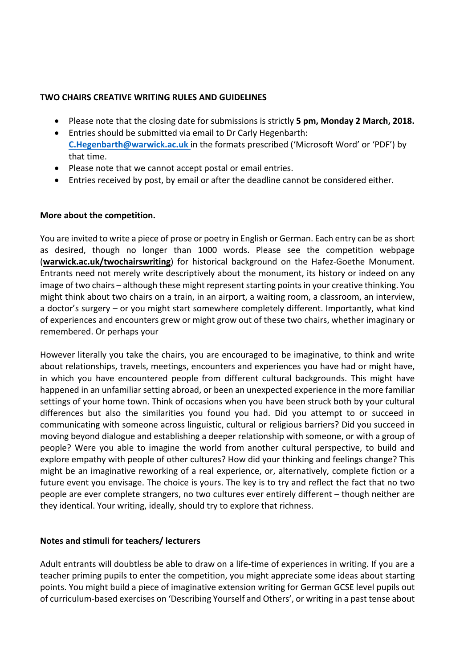#### **TWO CHAIRS CREATIVE WRITING RULES AND GUIDELINES**

- Please note that the closing date for submissions is strictly **5 pm, Monday 2 March, 2018.**
- Entries should be submitted via email to Dr Carly Hegenbarth: **C.Hegenbarth@warwick.ac.uk** in the formats prescribed ('Microsoft Word' or 'PDF') by that time.
- Please note that we cannot accept postal or email entries.
- Entries received by post, by email or after the deadline cannot be considered either.

### **More about the competition.**

You are invited to write a piece of prose or poetry in English or German. Each entry can be as short as desired, though no longer than 1000 words. Please see the competition webpage (warwick.ac.uk/twochairswriting) for historical background on the Hafez-Goethe Monument. Entrants need not merely write descriptively about the monument, its history or indeed on any image of two chairs – although these might represent starting points in your creative thinking. You might think about two chairs on a train, in an airport, a waiting room, a classroom, an interview, a doctor's surgery – or you might start somewhere completely different. Importantly, what kind of experiences and encounters grew or might grow out of these two chairs, whether imaginary or remembered. Or perhaps your

However literally you take the chairs, you are encouraged to be imaginative, to think and write about relationships, travels, meetings, encounters and experiences you have had or might have, in which you have encountered people from different cultural backgrounds. This might have happened in an unfamiliar setting abroad, or been an unexpected experience in the more familiar settings of your home town. Think of occasions when you have been struck both by your cultural differences but also the similarities you found you had. Did you attempt to or succeed in communicating with someone across linguistic, cultural or religious barriers? Did you succeed in moving beyond dialogue and establishing a deeper relationship with someone, or with a group of people? Were you able to imagine the world from another cultural perspective, to build and explore empathy with people of other cultures? How did your thinking and feelings change? This might be an imaginative reworking of a real experience, or, alternatively, complete fiction or a future event you envisage. The choice is yours. The key is to try and reflect the fact that no two people are ever complete strangers, no two cultures ever entirely different – though neither are they identical. Your writing, ideally, should try to explore that richness.

# Notes and stimuli for teachers/ lecturers

Adult entrants will doubtless be able to draw on a life-time of experiences in writing. If you are a teacher priming pupils to enter the competition, you might appreciate some ideas about starting points. You might build a piece of imaginative extension writing for German GCSE level pupils out of curriculum-based exercises on 'Describing Yourself and Others', or writing in a past tense about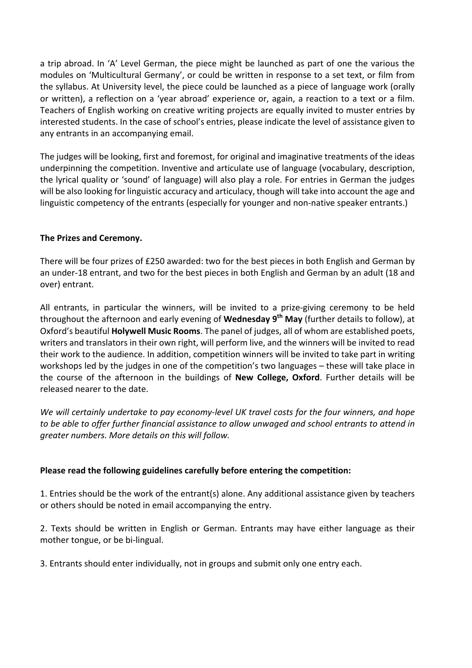a trip abroad. In 'A' Level German, the piece might be launched as part of one the various the modules on 'Multicultural Germany', or could be written in response to a set text, or film from the syllabus. At University level, the piece could be launched as a piece of language work (orally or written), a reflection on a 'year abroad' experience or, again, a reaction to a text or a film. Teachers of English working on creative writing projects are equally invited to muster entries by interested students. In the case of school's entries, please indicate the level of assistance given to any entrants in an accompanying email.

The judges will be looking, first and foremost, for original and imaginative treatments of the ideas underpinning the competition. Inventive and articulate use of language (vocabulary, description, the lyrical quality or 'sound' of language) will also play a role. For entries in German the judges will be also looking for linguistic accuracy and articulacy, though will take into account the age and linguistic competency of the entrants (especially for younger and non-native speaker entrants.)

# **The Prizes and Ceremony.**

There will be four prizes of £250 awarded: two for the best pieces in both English and German by an under-18 entrant, and two for the best pieces in both English and German by an adult (18 and over) entrant.

All entrants, in particular the winners, will be invited to a prize-giving ceremony to be held throughout the afternoon and early evening of **Wednesday 9<sup>th</sup> May** (further details to follow), at Oxford's beautiful **Holywell Music Rooms**. The panel of judges, all of whom are established poets, writers and translators in their own right, will perform live, and the winners will be invited to read their work to the audience. In addition, competition winners will be invited to take part in writing workshops led by the judges in one of the competition's two languages – these will take place in the course of the afternoon in the buildings of **New College, Oxford**. Further details will be released nearer to the date.

We will certainly undertake to pay economy-level UK travel costs for the four winners, and hope to be able to offer further financial assistance to allow unwaged and school entrants to attend in *greater numbers. More details on this will follow.*

#### **Please read the following guidelines carefully before entering the competition:**

1. Entries should be the work of the entrant(s) alone. Any additional assistance given by teachers or others should be noted in email accompanying the entry.

2. Texts should be written in English or German. Entrants may have either language as their mother tongue, or be bi-lingual.

3. Entrants should enter individually, not in groups and submit only one entry each.